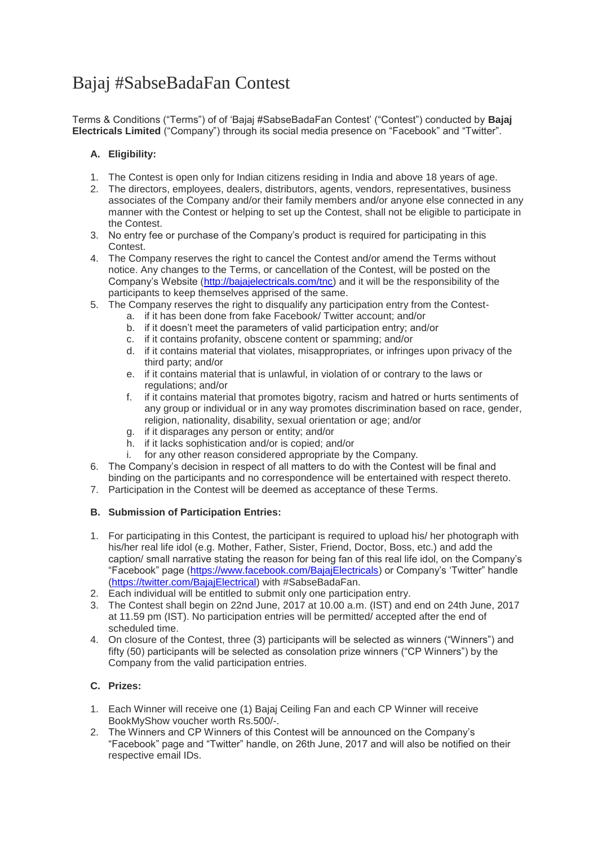# Bajaj #SabseBadaFan Contest

Terms & Conditions ("Terms") of of 'Bajaj #SabseBadaFan Contest' ("Contest") conducted by **Bajaj Electricals Limited** ("Company") through its social media presence on "Facebook" and "Twitter".

# **A. Eligibility:**

- 1. The Contest is open only for Indian citizens residing in India and above 18 years of age.
- 2. The directors, employees, dealers, distributors, agents, vendors, representatives, business associates of the Company and/or their family members and/or anyone else connected in any manner with the Contest or helping to set up the Contest, shall not be eligible to participate in the Contest.
- 3. No entry fee or purchase of the Company's product is required for participating in this Contest.
- 4. The Company reserves the right to cancel the Contest and/or amend the Terms without notice. Any changes to the Terms, or cancellation of the Contest, will be posted on the Company's Website [\(http://bajajelectricals.com/tnc\)](http://bajajelectricals.com/tnc) and it will be the responsibility of the participants to keep themselves apprised of the same.
- 5. The Company reserves the right to disqualify any participation entry from the Contest
	- a. if it has been done from fake Facebook/ Twitter account; and/or
	- b. if it doesn't meet the parameters of valid participation entry; and/or
	- c. if it contains profanity, obscene content or spamming; and/or
	- d. if it contains material that violates, misappropriates, or infringes upon privacy of the third party; and/or
	- e. if it contains material that is unlawful, in violation of or contrary to the laws or regulations; and/or
	- f. if it contains material that promotes bigotry, racism and hatred or hurts sentiments of any group or individual or in any way promotes discrimination based on race, gender, religion, nationality, disability, sexual orientation or age; and/or
	- g. if it disparages any person or entity; and/or
	- h. if it lacks sophistication and/or is copied; and/or
	- i. for any other reason considered appropriate by the Company.
- 6. The Company's decision in respect of all matters to do with the Contest will be final and binding on the participants and no correspondence will be entertained with respect thereto.
- 7. Participation in the Contest will be deemed as acceptance of these Terms.

## **B. Submission of Participation Entries:**

- 1. For participating in this Contest, the participant is required to upload his/ her photograph with his/her real life idol (e.g. Mother, Father, Sister, Friend, Doctor, Boss, etc.) and add the caption/ small narrative stating the reason for being fan of this real life idol, on the Company's "Facebook" page [\(https://www.facebook.com/BajajElectricals\)](https://www.facebook.com/BajajElectricals) or Company's 'Twitter" handle [\(https://twitter.com/BajajElectrical\)](https://twitter.com/BajajElectrical) with #SabseBadaFan.
- 2. Each individual will be entitled to submit only one participation entry.
- 3. The Contest shall begin on 22nd June, 2017 at 10.00 a.m. (IST) and end on 24th June, 2017 at 11.59 pm (IST). No participation entries will be permitted/ accepted after the end of scheduled time.
- 4. On closure of the Contest, three (3) participants will be selected as winners ("Winners") and fifty (50) participants will be selected as consolation prize winners ("CP Winners") by the Company from the valid participation entries.

## **C. Prizes:**

- 1. Each Winner will receive one (1) Bajaj Ceiling Fan and each CP Winner will receive BookMyShow voucher worth Rs.500/-.
- 2. The Winners and CP Winners of this Contest will be announced on the Company's "Facebook" page and "Twitter" handle, on 26th June, 2017 and will also be notified on their respective email IDs.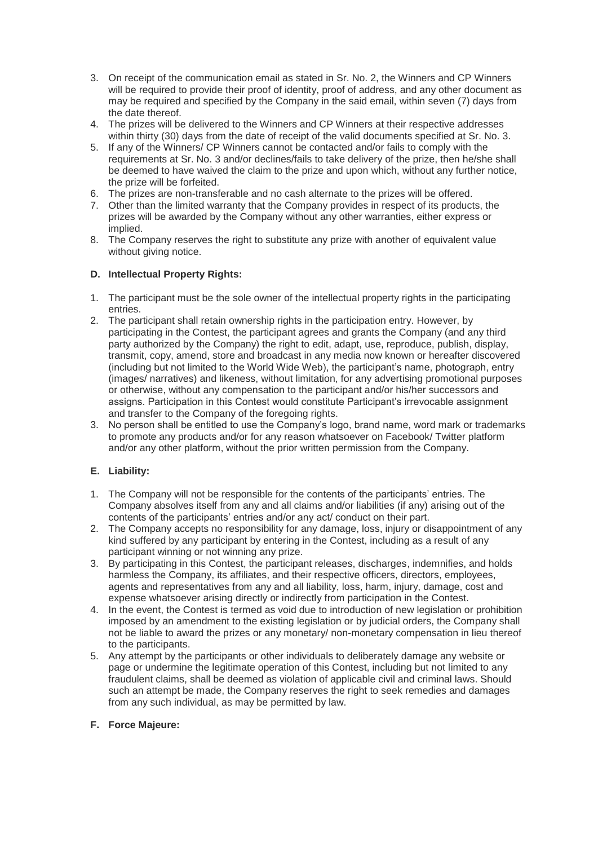- 3. On receipt of the communication email as stated in Sr. No. 2, the Winners and CP Winners will be required to provide their proof of identity, proof of address, and any other document as may be required and specified by the Company in the said email, within seven (7) days from the date thereof.
- 4. The prizes will be delivered to the Winners and CP Winners at their respective addresses within thirty (30) days from the date of receipt of the valid documents specified at Sr. No. 3.
- 5. If any of the Winners/ CP Winners cannot be contacted and/or fails to comply with the requirements at Sr. No. 3 and/or declines/fails to take delivery of the prize, then he/she shall be deemed to have waived the claim to the prize and upon which, without any further notice, the prize will be forfeited.
- 6. The prizes are non-transferable and no cash alternate to the prizes will be offered.
- 7. Other than the limited warranty that the Company provides in respect of its products, the prizes will be awarded by the Company without any other warranties, either express or implied.
- 8. The Company reserves the right to substitute any prize with another of equivalent value without giving notice.

### **D. Intellectual Property Rights:**

- 1. The participant must be the sole owner of the intellectual property rights in the participating entries.
- 2. The participant shall retain ownership rights in the participation entry. However, by participating in the Contest, the participant agrees and grants the Company (and any third party authorized by the Company) the right to edit, adapt, use, reproduce, publish, display, transmit, copy, amend, store and broadcast in any media now known or hereafter discovered (including but not limited to the World Wide Web), the participant's name, photograph, entry (images/ narratives) and likeness, without limitation, for any advertising promotional purposes or otherwise, without any compensation to the participant and/or his/her successors and assigns. Participation in this Contest would constitute Participant's irrevocable assignment and transfer to the Company of the foregoing rights.
- 3. No person shall be entitled to use the Company's logo, brand name, word mark or trademarks to promote any products and/or for any reason whatsoever on Facebook/ Twitter platform and/or any other platform, without the prior written permission from the Company.

## **E. Liability:**

- 1. The Company will not be responsible for the contents of the participants' entries. The Company absolves itself from any and all claims and/or liabilities (if any) arising out of the contents of the participants' entries and/or any act/ conduct on their part.
- 2. The Company accepts no responsibility for any damage, loss, injury or disappointment of any kind suffered by any participant by entering in the Contest, including as a result of any participant winning or not winning any prize.
- 3. By participating in this Contest, the participant releases, discharges, indemnifies, and holds harmless the Company, its affiliates, and their respective officers, directors, employees, agents and representatives from any and all liability, loss, harm, injury, damage, cost and expense whatsoever arising directly or indirectly from participation in the Contest.
- 4. In the event, the Contest is termed as void due to introduction of new legislation or prohibition imposed by an amendment to the existing legislation or by judicial orders, the Company shall not be liable to award the prizes or any monetary/ non-monetary compensation in lieu thereof to the participants.
- 5. Any attempt by the participants or other individuals to deliberately damage any website or page or undermine the legitimate operation of this Contest, including but not limited to any fraudulent claims, shall be deemed as violation of applicable civil and criminal laws. Should such an attempt be made, the Company reserves the right to seek remedies and damages from any such individual, as may be permitted by law.

#### **F. Force Majeure:**